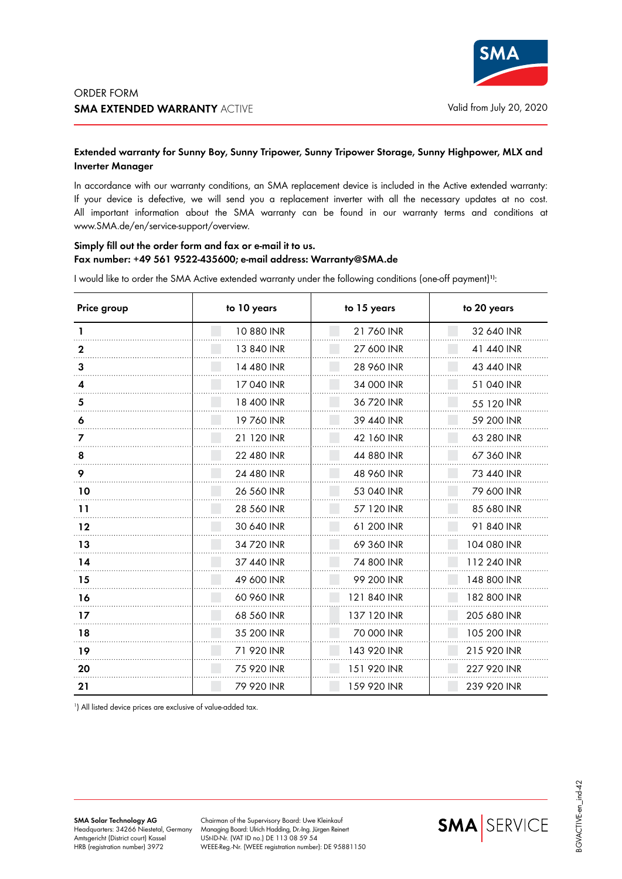

## **Extended warranty for Sunny Boy, Sunny Tripower, Sunny Tripower Storage, Sunny Highpower, MLX and Inverter Manager**

In accordance with our warranty conditions, an SMA replacement device is included in the Active extended warranty: If your device is defective, we will send you a replacement inverter with all the necessary updates at no cost. All important information about the SMA warranty can be found in our warranty terms and conditions at www.SMA.de/en/service-support/overview.

## **Simply fill out the order form and fax or e-mail it to us. Fax number: +49 561 9522-435600; e-mail address: Warranty@SMA.de**

I would like to order the SMA Active extended warranty under the following conditions (one-off payment)**1)**:

| Price group | to 10 years | to 15 years | to 20 years |
|-------------|-------------|-------------|-------------|
|             | 10 880 INR  | 21 760 INR  | 32 640 INR  |
| 2           | 13 840 INR  | 27 600 INR  | 41 440 INR  |
| 3           | 14 480 INR  | 28 960 INR  | 43 440 INR  |
|             | 17 040 INR  | 34 000 INR  | 51 040 INR  |
| 5           | 18 400 INR  | 36 720 INR  | 55 120 INR  |
| 6           | 19760 INR   | 39 440 INR  | 59 200 INR  |
|             | 21 120 INR  | 42 160 INR  | 63 280 INR  |
| 8           | 22 480 INR  | 44 880 INR  | 67 360 INR  |
| 9           | 24 480 INR  | 48 960 INR  | 73 440 INR  |
| 10          | 26 560 INR  | 53 040 INR  | 79 600 INR  |
| 11          | 28 560 INR  | 57 120 INR  | 85 680 INR  |
| 12          | 30 640 INR  | 61 200 INR  | 91 840 INR  |
| 13          | 34 720 INR  | 69 360 INR  | 104 080 INR |
| 14          | 37 440 INR  | 74 800 INR  | 112 240 INR |
| 15          | 49 600 INR  | 99 200 INR  | 148 800 INR |
| 16          | 60 960 INR  | 121 840 INR | 182 800 INR |
| 17          | 68 560 INR  | 137 120 INR | 205 680 INR |
| 18          | 35 200 INR  | 70 000 INR  | 105 200 INR |
| 19          | 71 920 INR  | 143 920 INR | 215 920 INR |
| 20          | 75 920 INR  | 151 920 INR | 227 920 INR |
| 21          | 79 920 INR  | 159 920 INR | 239 920 INR |

1 ) All listed device prices are exclusive of value-added tax.

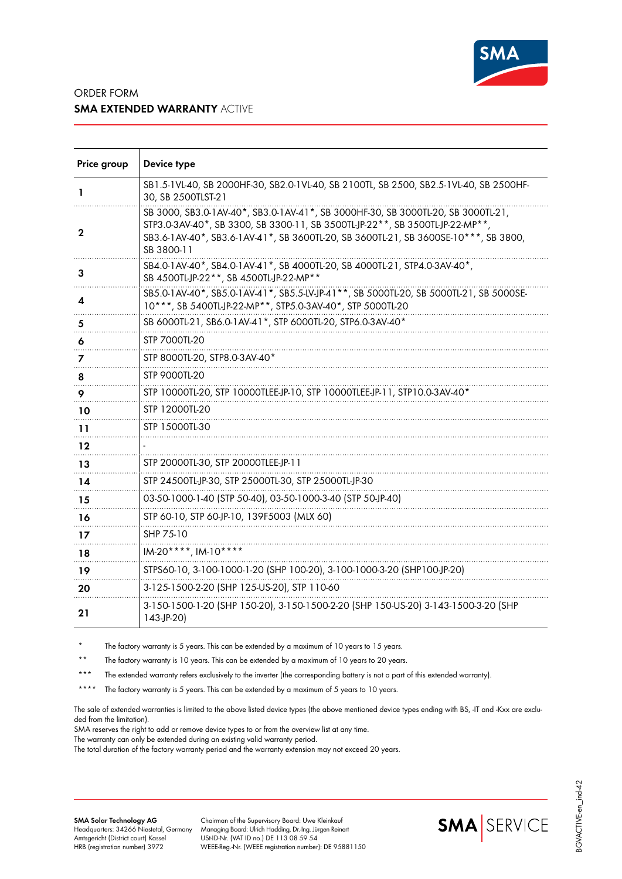

## ORDER FORM **SMA EXTENDED WARRANTY** ACTIVE

| Price group | Device type                                                                                                                                                                                                                                                           |
|-------------|-----------------------------------------------------------------------------------------------------------------------------------------------------------------------------------------------------------------------------------------------------------------------|
| L           | SB1.5-1VL-40, SB 2000HF-30, SB2.0-1VL-40, SB 2100TL, SB 2500, SB2.5-1VL-40, SB 2500HF-<br>30, SB 2500TLST-21                                                                                                                                                          |
| $\mathbf 2$ | SB 3000, SB3.0-1AV-40*, SB3.0-1AV-41*, SB 3000HF-30, SB 3000TL-20, SB 3000TL-21,<br>STP3.0-3AV-40*, SB 3300, SB 3300-11, SB 3500TL-JP-22**, SB 3500TL-JP-22-MP**<br>SB3.6-1AV-40*, SB3.6-1AV-41*, SB 3600TL-20, SB 3600TL-21, SB 3600SE-10***, SB 3800,<br>SB 3800-11 |
| 3           | SB4.0-1AV-40*, SB4.0-1AV-41*, SB 4000TL-20, SB 4000TL-21, STP4.0-3AV-40*,<br>SB 4500TL-JP-22**, SB 4500TL-JP-22-MP**                                                                                                                                                  |
| 4           | SB5.0-1AV-40*, SB5.0-1AV-41*, SB5.5-LV-JP-41**, SB 5000TL-20, SB 5000TL-21, SB 5000SE-<br>10***, SB 5400TL-JP-22-MP**, STP5.0-3AV-40*, STP 5000TL-20                                                                                                                  |
| 5           | SB 6000TL-21, SB6.0-1AV-41*, STP 6000TL-20, STP6.0-3AV-40*                                                                                                                                                                                                            |
| 6           | STP 7000TL-20                                                                                                                                                                                                                                                         |
| 7           | STP 8000TL-20, STP8.0-3AV-40*                                                                                                                                                                                                                                         |
| 8           | STP 9000TL-20                                                                                                                                                                                                                                                         |
| 9           | STP 10000TL-20, STP 10000TLEE-JP-10, STP 10000TLEE-JP-11, STP10.0-3AV-40*                                                                                                                                                                                             |
| 10          | STP 12000TL-20                                                                                                                                                                                                                                                        |
| 11          | STP 15000TL-30                                                                                                                                                                                                                                                        |
| 12          |                                                                                                                                                                                                                                                                       |
| 13          | STP 20000TL-30, STP 20000TLEE-JP-11                                                                                                                                                                                                                                   |
| 14          | STP 24500TL-JP-30, STP 25000TL-30, STP 25000TL-JP-30                                                                                                                                                                                                                  |
| 15          | 03-50-1000-1-40 (STP 50-40), 03-50-1000-3-40 (STP 50-JP-40)                                                                                                                                                                                                           |
| 16          | STP 60-10, STP 60-JP-10, 139F5003 (MLX 60)                                                                                                                                                                                                                            |
| 17          | SHP 75-10                                                                                                                                                                                                                                                             |
| 18          | $IM-20***$ , $IM-10***$                                                                                                                                                                                                                                               |
| 19          | STPS60-10, 3-100-1000-1-20 (SHP 100-20), 3-100-1000-3-20 (SHP100-JP-20)                                                                                                                                                                                               |
| 20          | 3-125-1500-2-20 (SHP 125-US-20), STP 110-60                                                                                                                                                                                                                           |
| 21          | 3-150-1500-1-20 (SHP 150-20), 3-150-1500-2-20 (SHP 150-US-20) 3-143-1500-3-20 (SHP<br>$143-JP-20$                                                                                                                                                                     |

The factory warranty is 5 years. This can be extended by a maximum of 10 years to 15 years.

\*\* The factory warranty is 10 years. This can be extended by a maximum of 10 years to 20 years.

\*\*\* The extended warranty refers exclusively to the inverter (the corresponding battery is not a part of this extended warranty).

\*\*\*\* The factory warranty is 5 years. This can be extended by a maximum of 5 years to 10 years.

The sale of extended warranties is limited to the above listed device types (the above mentioned device types ending with BS, -IT and -Kxx are excluded from the limitation).

SMA reserves the right to add or remove device types to or from the overview list at any time.

The warranty can only be extended during an existing valid warranty period.

The total duration of the factory warranty period and the warranty extension may not exceed 20 years.